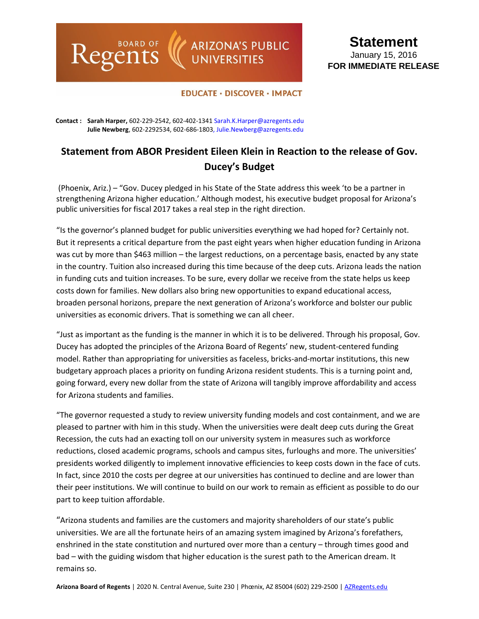## ARIZONA'S PUBLIC<br>UNIVERSITIES

## **Statement** January 15, 2016 **FOR IMMEDIATE RELEASE**

## **EDUCATE · DISCOVER · IMPACT**

**Contact : Sarah Harper,** 602-229-2542, 602-402-1341 [Sarah.K.Harper@azregents.edu](mailto:Sarah.K.Harper@azregents.edu) **Julie Newberg**, 602-2292534, 602-686-1803, Julie.Newberg@azregents.edu

Regents

## **Statement from ABOR President Eileen Klein in Reaction to the release of Gov. Ducey's Budget**

(Phoenix, Ariz.) – "Gov. Ducey pledged in his State of the State address this week 'to be a partner in strengthening Arizona higher education.' Although modest, his executive budget proposal for Arizona's public universities for fiscal 2017 takes a real step in the right direction.

"Is the governor's planned budget for public universities everything we had hoped for? Certainly not. But it represents a critical departure from the past eight years when higher education funding in Arizona was cut by more than \$463 million – the largest reductions, on a percentage basis, enacted by any state in the country. Tuition also increased during this time because of the deep cuts. Arizona leads the nation in funding cuts and tuition increases. To be sure, every dollar we receive from the state helps us keep costs down for families. New dollars also bring new opportunities to expand educational access, broaden personal horizons, prepare the next generation of Arizona's workforce and bolster our public universities as economic drivers. That is something we can all cheer.

"Just as important as the funding is the manner in which it is to be delivered. Through his proposal, Gov. Ducey has adopted the principles of the Arizona Board of Regents' new, student-centered funding model. Rather than appropriating for universities as faceless, bricks-and-mortar institutions, this new budgetary approach places a priority on funding Arizona resident students. This is a turning point and, going forward, every new dollar from the state of Arizona will tangibly improve affordability and access for Arizona students and families.

"The governor requested a study to review university funding models and cost containment, and we are pleased to partner with him in this study. When the universities were dealt deep cuts during the Great Recession, the cuts had an exacting toll on our university system in measures such as workforce reductions, closed academic programs, schools and campus sites, furloughs and more. The universities' presidents worked diligently to implement innovative efficiencies to keep costs down in the face of cuts. In fact, since 2010 the costs per degree at our universities has continued to decline and are lower than their peer institutions. We will continue to build on our work to remain as efficient as possible to do our part to keep tuition affordable.

"Arizona students and families are the customers and majority shareholders of our state's public universities. We are all the fortunate heirs of an amazing system imagined by Arizona's forefathers, enshrined in the state constitution and nurtured over more than a century – through times good and bad – with the guiding wisdom that higher education is the surest path to the American dream. It remains so.